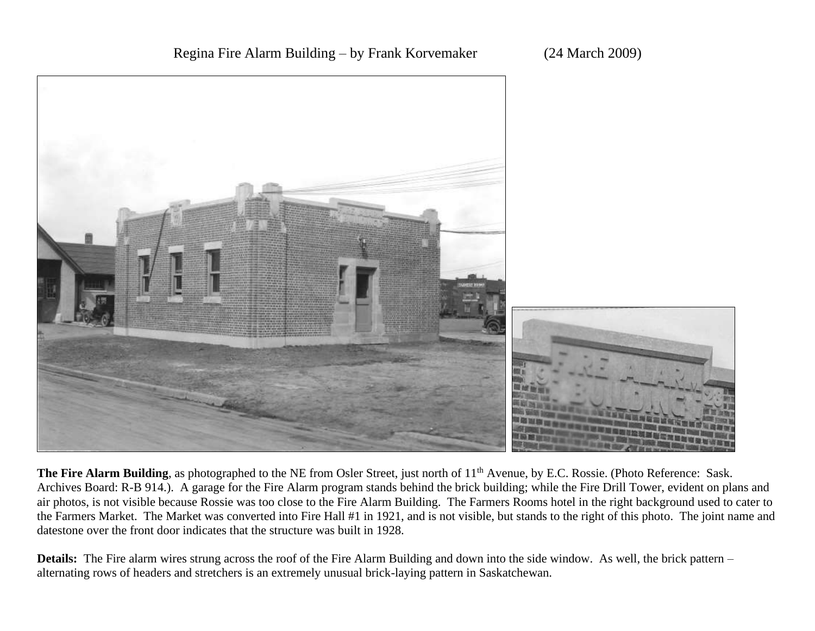## Regina Fire Alarm Building – by Frank Korvemaker (24 March 2009)



The Fire Alarm Building, as photographed to the NE from Osler Street, just north of 11<sup>th</sup> Avenue, by E.C. Rossie. (Photo Reference: Sask. Archives Board: R-B 914.). A garage for the Fire Alarm program stands behind the brick building; while the Fire Drill Tower, evident on plans and air photos, is not visible because Rossie was too close to the Fire Alarm Building. The Farmers Rooms hotel in the right background used to cater to the Farmers Market. The Market was converted into Fire Hall #1 in 1921, and is not visible, but stands to the right of this photo. The joint name and datestone over the front door indicates that the structure was built in 1928.

**Details:** The Fire alarm wires strung across the roof of the Fire Alarm Building and down into the side window. As well, the brick pattern – alternating rows of headers and stretchers is an extremely unusual brick-laying pattern in Saskatchewan.